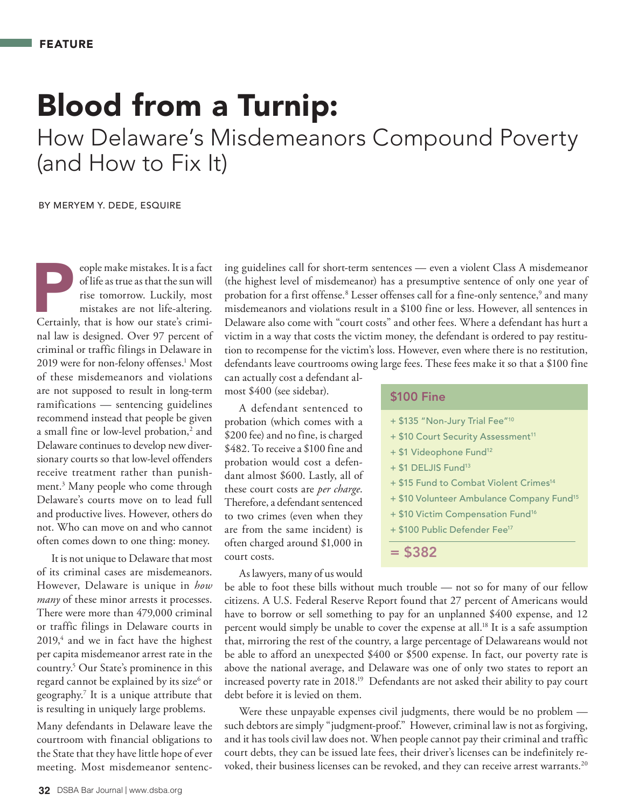## Blood from a Turnip:

### How Delaware's Misdemeanors Compound Poverty (and How to Fix It)

BY MERYEM Y. DEDE, ESQUIRE

eople make mistakes. It is a fact of life as true as that the sun will rise tomorrow. Luckily, most mistakes are not life-altering.<br>Certainly, that is how our state's crimiof life as true as that the sun will rise tomorrow. Luckily, most mistakes are not life-altering. nal law is designed. Over 97 percent of criminal or traffic filings in Delaware in 2019 were for non-felony offenses.<sup>1</sup> Most of these misdemeanors and violations are not supposed to result in long-term ramifications — sentencing guidelines recommend instead that people be given a small fine or low-level probation,<sup>2</sup> and Delaware continues to develop new diversionary courts so that low-level offenders receive treatment rather than punishment.3 Many people who come through Delaware's courts move on to lead full and productive lives. However, others do not. Who can move on and who cannot often comes down to one thing: money.

It is not unique to Delaware that most of its criminal cases are misdemeanors. However, Delaware is unique in *how many* of these minor arrests it processes. There were more than 479,000 criminal or traffic filings in Delaware courts in  $2019<sup>4</sup>$  and we in fact have the highest per capita misdemeanor arrest rate in the country.5 Our State's prominence in this regard cannot be explained by its size<sup>6</sup> or geography.7 It is a unique attribute that is resulting in uniquely large problems.

Many defendants in Delaware leave the courtroom with financial obligations to the State that they have little hope of ever meeting. Most misdemeanor sentencing guidelines call for short-term sentences — even a violent Class A misdemeanor (the highest level of misdemeanor) has a presumptive sentence of only one year of probation for a first offense.<sup>8</sup> Lesser offenses call for a fine-only sentence,<sup>9</sup> and many misdemeanors and violations result in a \$100 fine or less. However, all sentences in Delaware also come with "court costs" and other fees. Where a defendant has hurt a victim in a way that costs the victim money, the defendant is ordered to pay restitution to recompense for the victim's loss. However, even where there is no restitution, defendants leave courtrooms owing large fees. These fees make it so that a \$100 fine

can actually cost a defendant almost \$400 (see sidebar).

A defendant sentenced to probation (which comes with a \$200 fee) and no fine, is charged \$482. To receive a \$100 fine and probation would cost a defendant almost \$600. Lastly, all of these court costs are *per charge*. Therefore, a defendant sentenced to two crimes (even when they are from the same incident) is often charged around \$1,000 in court costs.

#### As lawyers, many of us would

#### \$100 Fine

- + \$135 "Non-Jury Trial Fee"10
- + \$10 Court Security Assessment<sup>11</sup>
- + \$1 Videophone Fund<sup>12</sup>
- + \$1 DELJIS Fund<sup>13</sup>
- + \$15 Fund to Combat Violent Crimes<sup>14</sup>
- + \$10 Volunteer Ambulance Company Fund<sup>15</sup>
- + \$10 Victim Compensation Fund<sup>16</sup>
- + \$100 Public Defender Fee<sup>17</sup>
- $=$  \$382

be able to foot these bills without much trouble — not so for many of our fellow citizens. A U.S. Federal Reserve Report found that 27 percent of Americans would have to borrow or sell something to pay for an unplanned \$400 expense, and 12 percent would simply be unable to cover the expense at all.18 It is a safe assumption that, mirroring the rest of the country, a large percentage of Delawareans would not be able to afford an unexpected \$400 or \$500 expense. In fact, our poverty rate is above the national average, and Delaware was one of only two states to report an increased poverty rate in 2018.<sup>19</sup> Defendants are not asked their ability to pay court debt before it is levied on them.

Were these unpayable expenses civil judgments, there would be no problem such debtors are simply "judgment-proof." However, criminal law is not as forgiving, and it has tools civil law does not. When people cannot pay their criminal and traffic court debts, they can be issued late fees, their driver's licenses can be indefinitely revoked, their business licenses can be revoked, and they can receive arrest warrants.<sup>20</sup>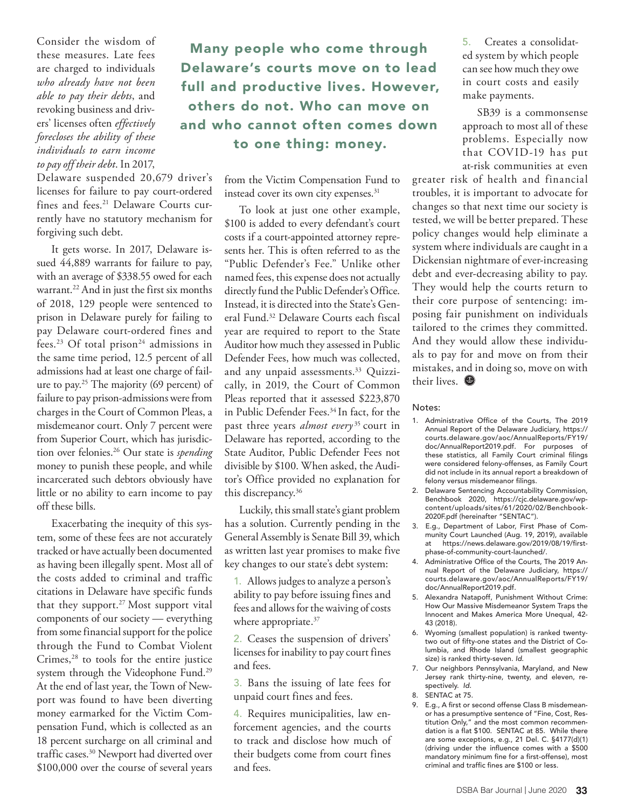Consider the wisdom of these measures. Late fees are charged to individuals *who already have not been able to pay their debts*, and revoking business and drivers' licenses often *effectively forecloses the ability of these individuals to earn income to pay off their debt*. In 2017,

Delaware suspended 20,679 driver's licenses for failure to pay court-ordered fines and fees.<sup>21</sup> Delaware Courts currently have no statutory mechanism for forgiving such debt.

It gets worse. In 2017, Delaware issued 44,889 warrants for failure to pay, with an average of \$338.55 owed for each warrant.<sup>22</sup> And in just the first six months of 2018, 129 people were sentenced to prison in Delaware purely for failing to pay Delaware court-ordered fines and fees.<sup>23</sup> Of total prison<sup>24</sup> admissions in the same time period, 12.5 percent of all admissions had at least one charge of failure to pay.25 The majority (69 percent) of failure to pay prison-admissions were from charges in the Court of Common Pleas, a misdemeanor court. Only 7 percent were from Superior Court, which has jurisdiction over felonies.26 Our state is *spending* money to punish these people, and while incarcerated such debtors obviously have little or no ability to earn income to pay off these bills.

Exacerbating the inequity of this system, some of these fees are not accurately tracked or have actually been documented as having been illegally spent. Most all of the costs added to criminal and traffic citations in Delaware have specific funds that they support.<sup>27</sup> Most support vital components of our society — everything from some financial support for the police through the Fund to Combat Violent Crimes, $28$  to tools for the entire justice system through the Videophone Fund.29 At the end of last year, the Town of Newport was found to have been diverting money earmarked for the Victim Compensation Fund, which is collected as an 18 percent surcharge on all criminal and traffic cases.<sup>30</sup> Newport had diverted over \$100,000 over the course of several years

Many people who come through Delaware's courts move on to lead full and productive lives. However, others do not. Who can move on and who cannot often comes down to one thing: money.

> from the Victim Compensation Fund to instead cover its own city expenses.<sup>31</sup>

To look at just one other example, \$100 is added to every defendant's court costs if a court-appointed attorney represents her. This is often referred to as the "Public Defender's Fee." Unlike other named fees, this expense does not actually directly fund the Public Defender's Office. Instead, it is directed into the State's General Fund.32 Delaware Courts each fiscal year are required to report to the State Auditor how much they assessed in Public Defender Fees, how much was collected, and any unpaid assessments.<sup>33</sup> Quizzically, in 2019, the Court of Common Pleas reported that it assessed \$223,870 in Public Defender Fees.<sup>34</sup> In fact, for the past three years *almost every*<sup>35</sup> court in Delaware has reported, according to the State Auditor, Public Defender Fees not divisible by \$100. When asked, the Auditor's Office provided no explanation for this discrepancy.36

Luckily, this small state's giant problem has a solution. Currently pending in the General Assembly is Senate Bill 39, which as written last year promises to make five key changes to our state's debt system:

1. Allows judges to analyze a person's ability to pay before issuing fines and fees and allows for the waiving of costs where appropriate.<sup>37</sup>

2. Ceases the suspension of drivers' licenses for inability to pay court fines and fees.

3. Bans the issuing of late fees for unpaid court fines and fees.

4. Requires municipalities, law enforcement agencies, and the courts to track and disclose how much of their budgets come from court fines and fees.

5. Creates a consolidated system by which people can see how much they owe in court costs and easily make payments.

SB39 is a commonsense approach to most all of these problems. Especially now that COVID-19 has put at-risk communities at even

greater risk of health and financial troubles, it is important to advocate for changes so that next time our society is tested, we will be better prepared. These policy changes would help eliminate a system where individuals are caught in a Dickensian nightmare of ever-increasing debt and ever-decreasing ability to pay. They would help the courts return to their core purpose of sentencing: imposing fair punishment on individuals tailored to the crimes they committed. And they would allow these individuals to pay for and move on from their mistakes, and in doing so, move on with their lives.  $\bullet$ 

#### Notes:

- 1. Administrative Office of the Courts, The 2019 Annual Report of the Delaware Judiciary, https:// courts.delaware.gov/aoc/AnnualReports/FY19/ doc/AnnualReport2019.pdf. For purposes of these statistics, all Family Court criminal filings were considered felony-offenses, as Family Court did not include in its annual report a breakdown of felony versus misdemeanor filings.
- 2. Delaware Sentencing Accountability Commission, Benchbook 2020, https://cjc.delaware.gov/wpcontent/uploads/sites/61/2020/02/Benchbook-2020F.pdf (hereinafter "SENTAC").
- 3. E.g., Department of Labor, First Phase of Community Court Launched (Aug. 19, 2019), available at https://news.delaware.gov/2019/08/19/firstphase-of-community-court-launched/.
- 4. Administrative Office of the Courts, The 2019 Annual Report of the Delaware Judiciary, https:// courts.delaware.gov/aoc/AnnualReports/FY19/ doc/AnnualReport2019.pdf.
- 5. Alexandra Natapoff, Punishment Without Crime: How Our Massive Misdemeanor System Traps the Innocent and Makes America More Unequal, 42- 43 (2018).
- 6. Wyoming (smallest population) is ranked twentytwo out of fifty-one states and the District of Columbia, and Rhode Island (smallest geographic size) is ranked thirty-seven. *Id.*
- 7. Our neighbors Pennsylvania, Maryland, and New Jersey rank thirty-nine, twenty, and eleven, respectively. *Id.*
- 8. SENTAC at 75.
- E.g., A first or second offense Class B misdemeanor has a presumptive sentence of "Fine, Cost, Restitution Only," and the most common recommendation is a flat \$100. SENTAC at 85. While there are some exceptions, e.g., 21 Del. C. §4177(d)(1) (driving under the influence comes with a \$500 mandatory minimum fine for a first-offense), most criminal and traffic fines are \$100 or less.